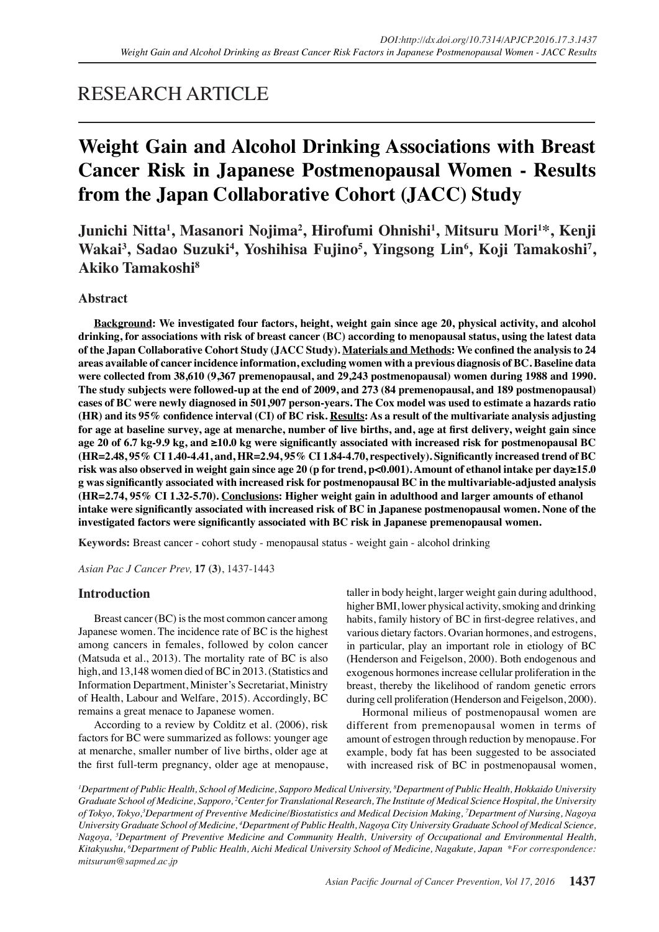## RESEARCH ARTICLE

# **Weight Gain and Alcohol Drinking Associations with Breast Cancer Risk in Japanese Postmenopausal Women - Results from the Japan Collaborative Cohort (JACC) Study**

**Junichi Nitta1 , Masanori Nojima2 , Hirofumi Ohnishi1 , Mitsuru Mori1 \*, Kenji**  Wakai<sup>3</sup>, Sadao Suzuki<sup>4</sup>, Yoshihisa Fujino<sup>5</sup>, Yingsong Lin<sup>6</sup>, Koji Tamakoshi<sup>7</sup>, **Akiko Tamakoshi8**

## **Abstract**

**Background: We investigated four factors, height, weight gain since age 20, physical activity, and alcohol drinking, for associations with risk of breast cancer (BC) according to menopausal status, using the latest data of the Japan Collaborative Cohort Study (JACC Study). Materials and Methods: We confined the analysis to 24 areas available of cancer incidence information, excluding women with a previous diagnosis of BC. Baseline data were collected from 38,610 (9,367 premenopausal, and 29,243 postmenopausal) women during 1988 and 1990. The study subjects were followed-up at the end of 2009, and 273 (84 premenopausal, and 189 postmenopausal) cases of BC were newly diagnosed in 501,907 person-years. The Cox model was used to estimate a hazards ratio (HR) and its 95% confidence interval (CI) of BC risk. Results: As a result of the multivariate analysis adjusting for age at baseline survey, age at menarche, number of live births, and, age at first delivery, weight gain since age 20 of 6.7 kg-9.9 kg, and ≥10.0 kg were significantly associated with increased risk for postmenopausal BC (HR=2.48, 95% CI 1.40-4.41, and, HR=2.94, 95% CI 1.84-4.70, respectively). Significantly increased trend of BC risk was also observed in weight gain since age 20 (p for trend, p<0.001). Amount of ethanol intake per day≥15.0 g was significantly associated with increased risk for postmenopausal BC in the multivariable-adjusted analysis (HR=2.74, 95% CI 1.32-5.70). Conclusions: Higher weight gain in adulthood and larger amounts of ethanol intake were significantly associated with increased risk of BC in Japanese postmenopausal women. None of the investigated factors were significantly associated with BC risk in Japanese premenopausal women.**

**Keywords:** Breast cancer - cohort study - menopausal status - weight gain - alcohol drinking

*Asian Pac J Cancer Prev,* **17 (3)**, 1437-1443

### **Introduction**

Breast cancer (BC) is the most common cancer among Japanese women. The incidence rate of BC is the highest among cancers in females, followed by colon cancer (Matsuda et al., 2013). The mortality rate of BC is also high, and 13,148 women died of BC in 2013. (Statistics and Information Department, Minister's Secretariat, Ministry of Health, Labour and Welfare, 2015). Accordingly, BC remains a great menace to Japanese women.

According to a review by Colditz et al. (2006), risk factors for BC were summarized as follows: younger age at menarche, smaller number of live births, older age at the first full-term pregnancy, older age at menopause, taller in body height, larger weight gain during adulthood, higher BMI, lower physical activity, smoking and drinking habits, family history of BC in first-degree relatives, and various dietary factors. Ovarian hormones, and estrogens, in particular, play an important role in etiology of BC (Henderson and Feigelson, 2000). Both endogenous and exogenous hormones increase cellular proliferation in the breast, thereby the likelihood of random genetic errors during cell proliferation (Henderson and Feigelson, 2000).

Hormonal milieus of postmenopausal women are different from premenopausal women in terms of amount of estrogen through reduction by menopause. For example, body fat has been suggested to be associated with increased risk of BC in postmenopausal women,

*1 Department of Public Health, School of Medicine, Sapporo Medical University, 8 Department of Public Health, Hokkaido University*  Graduate School of Medicine, Sapporo, <sup>2</sup>Center for Translational Research, The Institute of Medical Science Hospital, the University *of Tokyo, Tokyo,3 Department of Preventive Medicine/Biostatistics and Medical Decision Making, 7 Department of Nursing, Nagoya*  University Graduate School of Medicine, <sup>4</sup>Department of Public Health, Nagoya City University Graduate School of Medical Science, *Nagoya, 5 Department of Preventive Medicine and Community Health, University of Occupational and Environmental Health, Kitakyushu, 6 Department of Public Health, Aichi Medical University School of Medicine, Nagakute, Japan \*For correspondence: mitsurum@sapmed.ac.jp*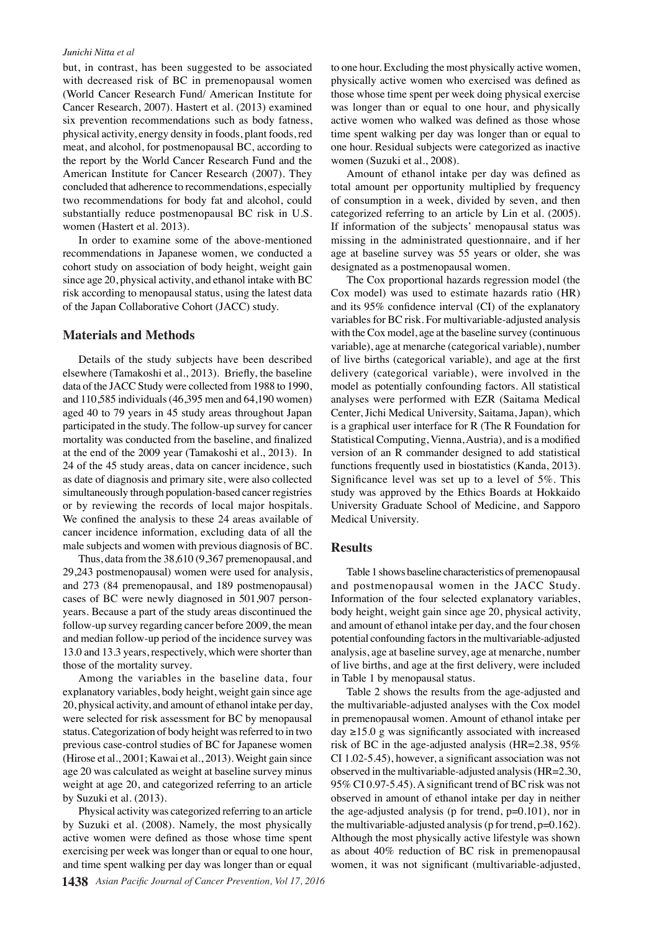#### *Junichi Nitta et al*

but, in contrast, has been suggested to be associated with decreased risk of BC in premenopausal women (World Cancer Research Fund/ American Institute for Cancer Research, 2007). Hastert et al. (2013) examined six prevention recommendations such as body fatness, physical activity, energy density in foods, plant foods, red meat, and alcohol, for postmenopausal BC, according to the report by the World Cancer Research Fund and the American Institute for Cancer Research (2007). They concluded that adherence to recommendations, especially two recommendations for body fat and alcohol, could substantially reduce postmenopausal BC risk in U.S. women (Hastert et al. 2013).

In order to examine some of the above-mentioned recommendations in Japanese women, we conducted a cohort study on association of body height, weight gain since age 20, physical activity, and ethanol intake with BC risk according to menopausal status, using the latest data of the Japan Collaborative Cohort (JACC) study.

#### **Materials and Methods**

Details of the study subjects have been described elsewhere (Tamakoshi et al., 2013). Briefly, the baseline data of the JACC Study were collected from 1988 to 1990, and 110,585 individuals (46,395 men and 64,190 women) aged 40 to 79 years in 45 study areas throughout Japan participated in the study. The follow-up survey for cancer mortality was conducted from the baseline, and finalized at the end of the 2009 year (Tamakoshi et al., 2013). In 24 of the 45 study areas, data on cancer incidence, such as date of diagnosis and primary site, were also collected simultaneously through population-based cancer registries or by reviewing the records of local major hospitals. We confined the analysis to these 24 areas available of cancer incidence information, excluding data of all the male subjects and women with previous diagnosis of BC.

Thus, data from the 38,610 (9,367 premenopausal, and 29,243 postmenopausal) women were used for analysis, and 273 (84 premenopausal, and 189 postmenopausal) cases of BC were newly diagnosed in 501,907 personyears. Because a part of the study areas discontinued the follow-up survey regarding cancer before 2009, the mean and median follow-up period of the incidence survey was 13.0 and 13.3 years, respectively, which were shorter than those of the mortality survey.

Among the variables in the baseline data, four explanatory variables, body height, weight gain since age 20, physical activity, and amount of ethanol intake per day, were selected for risk assessment for BC by menopausal status. Categorization of body height was referred to in two previous case-control studies of BC for Japanese women (Hirose et al., 2001; Kawai et al., 2013). Weight gain since age 20 was calculated as weight at baseline survey minus weight at age 20, and categorized referring to an article by Suzuki et al. (2013).

Physical activity was categorized referring to an article by Suzuki et al. (2008). Namely, the most physically active women were defined as those whose time spent exercising per week was longer than or equal to one hour, and time spent walking per day was longer than or equal

to one hour. Excluding the most physically active women, physically active women who exercised was defined as those whose time spent per week doing physical exercise was longer than or equal to one hour, and physically active women who walked was defined as those whose time spent walking per day was longer than or equal to one hour. Residual subjects were categorized as inactive women (Suzuki et al., 2008).

Amount of ethanol intake per day was defined as total amount per opportunity multiplied by frequency of consumption in a week, divided by seven, and then categorized referring to an article by Lin et al. (2005). If information of the subjects' menopausal status was missing in the administrated questionnaire, and if her age at baseline survey was 55 years or older, she was designated as a postmenopausal women.

The Cox proportional hazards regression model (the Cox model) was used to estimate hazards ratio (HR) and its 95% confidence interval (CI) of the explanatory variables for BC risk. For multivariable-adjusted analysis with the Cox model, age at the baseline survey (continuous variable), age at menarche (categorical variable), number of live births (categorical variable), and age at the first delivery (categorical variable), were involved in the model as potentially confounding factors. All statistical analyses were performed with EZR (Saitama Medical Center, Jichi Medical University, Saitama, Japan), which is a graphical user interface for R (The R Foundation for Statistical Computing, Vienna, Austria), and is a modified version of an R commander designed to add statistical functions frequently used in biostatistics (Kanda, 2013). Significance level was set up to a level of 5%. This study was approved by the Ethics Boards at Hokkaido University Graduate School of Medicine, and Sapporo Medical University.

#### **Results**

Table 1 shows baseline characteristics of premenopausal and postmenopausal women in the JACC Study. Information of the four selected explanatory variables, body height, weight gain since age 20, physical activity, and amount of ethanol intake per day, and the four chosen potential confounding factors in the multivariable-adjusted analysis, age at baseline survey, age at menarche, number of live births, and age at the first delivery, were included in Table 1 by menopausal status.

Table 2 shows the results from the age-adjusted and the multivariable-adjusted analyses with the Cox model in premenopausal women. Amount of ethanol intake per day ≥15.0 g was significantly associated with increased risk of BC in the age-adjusted analysis (HR=2.38, 95% CI 1.02-5.45), however, a significant association was not observed in the multivariable-adjusted analysis (HR=2.30, 95% CI 0.97-5.45). A significant trend of BC risk was not observed in amount of ethanol intake per day in neither the age-adjusted analysis ( $p$  for trend,  $p=0.101$ ), nor in the multivariable-adjusted analysis ( $p$  for trend,  $p=0.162$ ). Although the most physically active lifestyle was shown as about 40% reduction of BC risk in premenopausal women, it was not significant (multivariable-adjusted,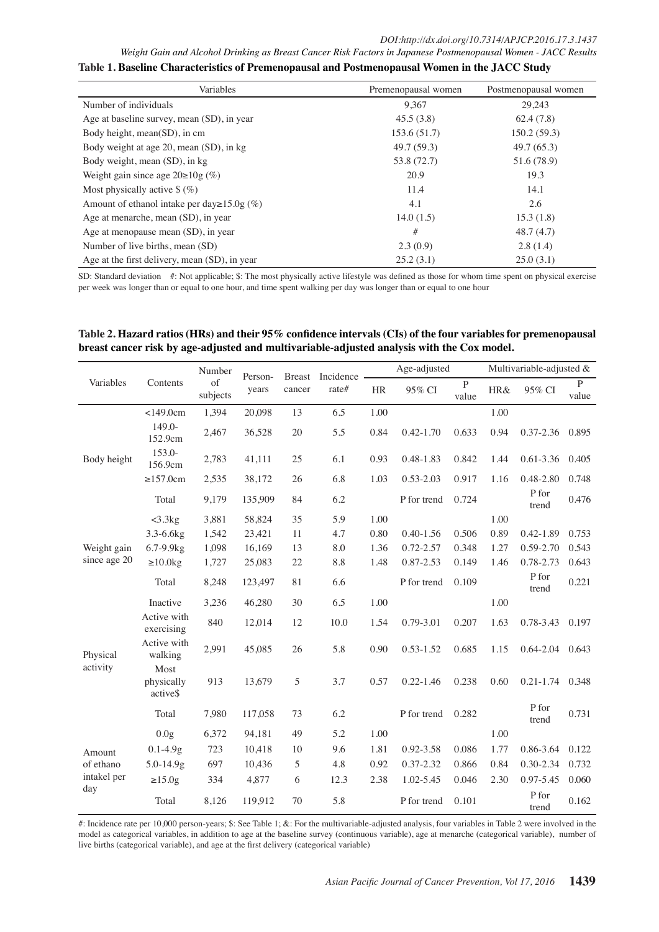#### *Weight Gain and Alcohol Drinking as Breast Cancer Risk Factors in Japanese Postmenopausal Women - JACC Results* **Table 1. Baseline Characteristics of Premenopausal and Postmenopausal Women in the JACC Study**

| Variables                                          | Premenopausal women | Postmenopausal women |
|----------------------------------------------------|---------------------|----------------------|
| Number of individuals                              | 9.367               | 29.243               |
| Age at baseline survey, mean (SD), in year         | 45.5(3.8)           | 62.4(7.8)            |
| Body height, mean(SD), in cm                       | 153.6(51.7)         | 150.2(59.3)          |
| Body weight at age 20, mean (SD), in kg            | 49.7(59.3)          | 49.7(65.3)           |
| Body weight, mean (SD), in kg                      | 53.8 (72.7)         | 51.6 (78.9)          |
| Weight gain since age $20\geq 10g$ (%)             | 20.9                | 19.3                 |
| Most physically active $\S$ (%)                    | 11.4                | 14.1                 |
| Amount of ethanol intake per day $\geq 15.0$ g (%) | 4.1                 | 2.6                  |
| Age at menarche, mean (SD), in year                | 14.0(1.5)           | 15.3(1.8)            |
| Age at menopause mean (SD), in year                | #                   | 48.7(4.7)            |
| Number of live births, mean (SD)                   | 2.3(0.9)            | 2.8(1.4)             |
| Age at the first delivery, mean (SD), in year      | 25.2(3.1)           | 25.0(3.1)            |

SD: Standard deviation #: Not applicable; \$: The most physically active lifestyle was defined as those for whom time spent on physical exercise per week was longer than or equal to one hour, and time spent walking per day was longer than or equal to one hour

#### **Table 2. Hazard ratios (HRs) and their 95% confidence intervals (CIs) of the four variables for premenopausal breast cancer risk by age-adjusted and multivariable-adjusted analysis with the Cox model.**

|                                 | Contents                       | Number                 | Person-<br>years | <b>Breast</b><br>cancer | Incidence<br>rate# | Age-adjusted |               |                         | Multivariable-adjusted & |                |                       |  |
|---------------------------------|--------------------------------|------------------------|------------------|-------------------------|--------------------|--------------|---------------|-------------------------|--------------------------|----------------|-----------------------|--|
| Variables                       |                                | $\sigma$ f<br>subjects |                  |                         |                    | <b>HR</b>    | 95% CI        | $\overline{P}$<br>value | HR&                      | 95% CI         | $\mathbf{P}$<br>value |  |
| Body height                     | $<$ 149.0cm                    | 1.394                  | 20,098           | 13                      | 6.5                | 1.00         |               |                         | 1.00                     |                |                       |  |
|                                 | 149.0-<br>152.9cm              | 2,467                  | 36,528           | $20\,$                  | 5.5                | 0.84         | $0.42 - 1.70$ | 0.633                   | 0.94                     | 0.37-2.36      | 0.895                 |  |
|                                 | 153.0-<br>156.9cm              | 2,783                  | 41,111           | 25                      | 6.1                | 0.93         | $0.48 - 1.83$ | 0.842                   | 1.44                     | $0.61 - 3.36$  | 0.405                 |  |
|                                 | $\geq$ 157.0cm                 | 2,535                  | 38,172           | 26                      | 6.8                | 1.03         | $0.53 - 2.03$ | 0.917                   | 1.16                     | 0.48-2.80      | 0.748                 |  |
|                                 | Total                          | 9.179                  | 135,909          | 84                      | 6.2                |              | P for trend   | 0.724                   |                          | P for<br>trend | 0.476                 |  |
|                                 | $<$ 3.3 $kg$                   | 3,881                  | 58,824           | 35                      | 5.9                | 1.00         |               |                         | 1.00                     |                |                       |  |
|                                 | 3.3-6.6kg                      | 1,542                  | 23,421           | 11                      | 4.7                | 0.80         | $0.40 - 1.56$ | 0.506                   | 0.89                     | $0.42 - 1.89$  | 0.753                 |  |
| Weight gain                     | 6.7-9.9kg                      | 1,098                  | 16,169           | 13                      | 8.0                | 1.36         | $0.72 - 2.57$ | 0.348                   | 1.27                     | 0.59-2.70      | 0.543                 |  |
| since age 20                    | $\geq 10.0$ kg                 | 1,727                  | 25,083           | 22                      | 8.8                | 1.48         | $0.87 - 2.53$ | 0.149                   | 1.46                     | 0.78-2.73      | 0.643                 |  |
|                                 | Total                          | 8,248                  | 123,497          | 81                      | 6.6                |              | P for trend   | 0.109                   |                          | P for<br>trend | 0.221                 |  |
|                                 | Inactive                       | 3,236                  | 46,280           | 30                      | 6.5                | 1.00         |               |                         | 1.00                     |                |                       |  |
| Physical<br>activity            | Active with<br>exercising      | 840                    | 12,014           | 12                      | 10.0               | 1.54         | 0.79-3.01     | 0.207                   | 1.63                     | 0.78-3.43      | 0.197                 |  |
|                                 | Active with<br>walking         | 2,991                  | 45,085           | 26                      | 5.8                | 0.90         | $0.53 - 1.52$ | 0.685                   | 1.15                     | $0.64 - 2.04$  | 0.643                 |  |
|                                 | Most<br>physically<br>active\$ | 913                    | 13,679           | 5                       | 3.7                | 0.57         | $0.22 - 1.46$ | 0.238                   | 0.60                     | $0.21 - 1.74$  | 0.348                 |  |
|                                 | Total                          | 7,980                  | 117,058          | 73                      | 6.2                |              | P for trend   | 0.282                   |                          | P for<br>trend | 0.731                 |  |
|                                 | 0.0 <sub>g</sub>               | 6,372                  | 94,181           | 49                      | 5.2                | 1.00         |               |                         | 1.00                     |                |                       |  |
| Amount                          | $0.1 - 4.9g$                   | 723                    | 10,418           | 10                      | 9.6                | 1.81         | 0.92-3.58     | 0.086                   | 1.77                     | 0.86-3.64      | 0.122                 |  |
| of ethano<br>intakel per<br>day | $5.0 - 14.9g$                  | 697                    | 10,436           | 5                       | 4.8                | 0.92         | 0.37-2.32     | 0.866                   | 0.84                     | $0.30 - 2.34$  | 0.732                 |  |
|                                 | $\geq 15.0g$                   | 334                    | 4,877            | 6                       | 12.3               | 2.38         | 1.02-5.45     | 0.046                   | 2.30                     | 0.97-5.45      | 0.060                 |  |
|                                 | Total                          | 8,126                  | 119,912          | 70                      | 5.8                |              | P for trend   | 0.101                   |                          | P for<br>trend | 0.162                 |  |

#: Incidence rate per 10,000 person-years; \$: See Table 1; &: For the multivariable-adjusted analysis, four variables in Table 2 were involved in the model as categorical variables, in addition to age at the baseline survey (continuous variable), age at menarche (categorical variable), number of live births (categorical variable), and age at the first delivery (categorical variable)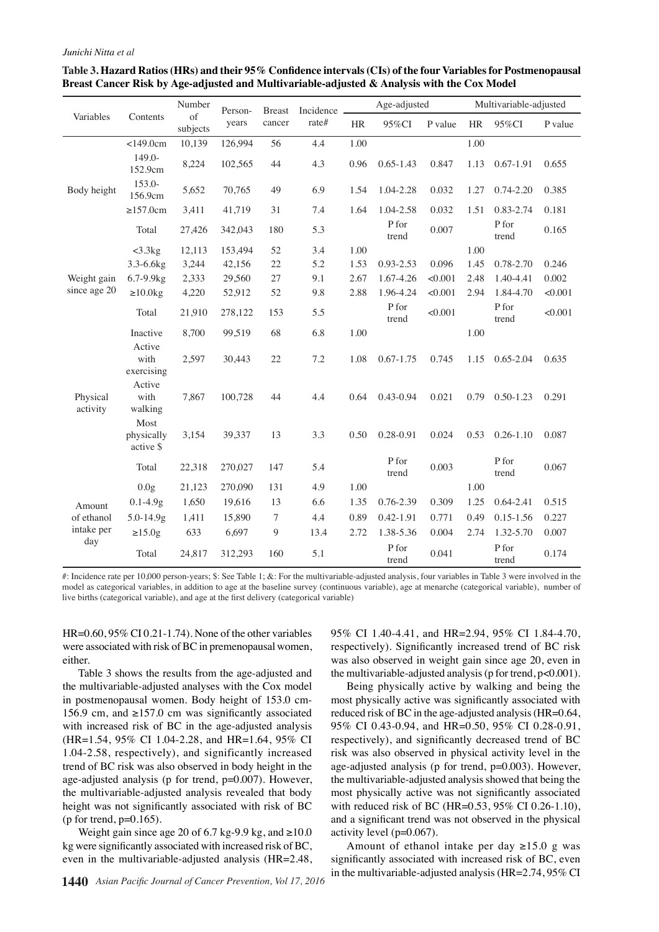#### *Junichi Nitta et al*

| Variables                                 | Contents                        | Number<br>of<br>subjects | Person-<br>years | <b>Breast</b><br>cancer | Incidence.<br>rate# | Age-adjusted |                |         | Multivariable-adjusted |                |         |
|-------------------------------------------|---------------------------------|--------------------------|------------------|-------------------------|---------------------|--------------|----------------|---------|------------------------|----------------|---------|
|                                           |                                 |                          |                  |                         |                     | HR           | 95%CI          | P value | HR                     | 95%CI          | P value |
| Body height                               | $<$ 149.0cm                     | 10,139                   | 126,994          | 56                      | 4.4                 | 1.00         |                |         | 1.00                   |                |         |
|                                           | 149.0-<br>152.9cm               | 8,224                    | 102,565          | 44                      | 4.3                 | 0.96         | $0.65 - 1.43$  | 0.847   | 1.13                   | $0.67 - 1.91$  | 0.655   |
|                                           | 153.0-<br>156.9cm               | 5,652                    | 70,765           | 49                      | 6.9                 | 1.54         | 1.04-2.28      | 0.032   | 1.27                   | $0.74 - 2.20$  | 0.385   |
|                                           | $\geq$ 157.0cm                  | 3,411                    | 41,719           | 31                      | 7.4                 | 1.64         | 1.04-2.58      | 0.032   | 1.51                   | 0.83-2.74      | 0.181   |
|                                           | Total                           | 27,426                   | 342,043          | 180                     | 5.3                 |              | P for<br>trend | 0.007   |                        | P for<br>trend | 0.165   |
| Weight gain                               | $<$ 3.3 $kg$                    | 12,113                   | 153,494          | 52                      | 3.4                 | 1.00         |                |         | 1.00                   |                |         |
|                                           | 3.3-6.6kg                       | 3,244                    | 42,156           | 22                      | 5.2                 | 1.53         | 0.93-2.53      | 0.096   | 1.45                   | 0.78-2.70      | 0.246   |
|                                           | 6.7-9.9kg                       | 2,333                    | 29,560           | 27                      | 9.1                 | 2.67         | 1.67-4.26      | < 0.001 | 2.48                   | 1.40-4.41      | 0.002   |
| since age 20                              | $\geq 10.0$ kg                  | 4,220                    | 52,912           | 52                      | 9.8                 | 2.88         | 1.96-4.24      | < 0.001 | 2.94                   | 1.84-4.70      | < 0.001 |
|                                           | Total                           | 21,910                   | 278,122          | 153                     | 5.5                 |              | P for<br>trend | < 0.001 |                        | P for<br>trend | < 0.001 |
|                                           | Inactive                        | 8,700                    | 99,519           | 68                      | 6.8                 | 1.00         |                |         | 1.00                   |                |         |
| Physical<br>activity                      | Active<br>with<br>exercising    | 2,597                    | 30,443           | 22                      | 7.2                 | 1.08         | $0.67 - 1.75$  | 0.745   | 1.15                   | $0.65 - 2.04$  | 0.635   |
|                                           | Active<br>with<br>walking       | 7,867                    | 100,728          | 44                      | 4.4                 | 0.64         | 0.43-0.94      | 0.021   | 0.79                   | $0.50 - 1.23$  | 0.291   |
|                                           | Most<br>physically<br>active \$ | 3,154                    | 39,337           | 13                      | 3.3                 | 0.50         | 0.28-0.91      | 0.024   | 0.53                   | $0.26 - 1.10$  | 0.087   |
|                                           | Total                           | 22,318                   | 270,027          | 147                     | 5.4                 |              | P for<br>trend | 0.003   |                        | P for<br>trend | 0.067   |
| Amount<br>of ethanol<br>intake per<br>day | 0.0g                            | 21,123                   | 270,090          | 131                     | 4.9                 | 1.00         |                |         | 1.00                   |                |         |
|                                           | $0.1 - 4.9g$                    | 1,650                    | 19,616           | 13                      | 6.6                 | 1.35         | 0.76-2.39      | 0.309   | 1.25                   | $0.64 - 2.41$  | 0.515   |
|                                           | $5.0 - 14.9g$                   | 1,411                    | 15,890           | $\tau$                  | 4.4                 | 0.89         | $0.42 - 1.91$  | 0.771   | 0.49                   | $0.15 - 1.56$  | 0.227   |
|                                           | $\geq 15.0g$                    | 633                      | 6,697            | $\mathbf{9}$            | 13.4                | 2.72         | 1.38-5.36      | 0.004   | 2.74                   | 1.32-5.70      | 0.007   |
|                                           | Total                           | 24,817                   | 312,293          | 160                     | 5.1                 |              | P for<br>trend | 0.041   |                        | P for<br>trend | 0.174   |

| Table 3. Hazard Ratios (HRs) and their 95% Confidence intervals (CIs) of the four Variables for Postmenopausal |  |
|----------------------------------------------------------------------------------------------------------------|--|
| Breast Cancer Risk by Age-adjusted and Multivariable-adjusted & Analysis with the Cox Model                    |  |

#: Incidence rate per 10,000 person-years; \$: See Table 1; &: For the multivariable-adjusted analysis, four variables in Table 3 were involved in the model as categorical variables, in addition to age at the baseline survey (continuous variable), age at menarche (categorical variable), number of live births (categorical variable), and age at the first delivery (categorical variable)

HR=0.60, 95% CI 0.21-1.74). None of the other variables were associated with risk of BC in premenopausal women, either.

Table 3 shows the results from the age-adjusted and the multivariable-adjusted analyses with the Cox model in postmenopausal women. Body height of 153.0 cm-156.9 cm, and ≥157.0 cm was significantly associated with increased risk of BC in the age-adjusted analysis (HR=1.54, 95% CI 1.04-2.28, and HR=1.64, 95% CI 1.04-2.58, respectively), and significantly increased trend of BC risk was also observed in body height in the age-adjusted analysis (p for trend, p=0.007). However, the multivariable-adjusted analysis revealed that body height was not significantly associated with risk of BC (p for trend,  $p=0.165$ ).

Weight gain since age 20 of 6.7 kg-9.9 kg, and  $\geq 10.0$ kg were significantly associated with increased risk of BC, even in the multivariable-adjusted analysis (HR=2.48, 95% CI 1.40-4.41, and HR=2.94, 95% CI 1.84-4.70, respectively). Significantly increased trend of BC risk was also observed in weight gain since age 20, even in the multivariable-adjusted analysis (p for trend,  $p<0.001$ ).

Being physically active by walking and being the most physically active was significantly associated with reduced risk of BC in the age-adjusted analysis (HR=0.64, 95% CI 0.43-0.94, and HR=0.50, 95% CI 0.28-0.91, respectively), and significantly decreased trend of BC risk was also observed in physical activity level in the age-adjusted analysis (p for trend, p=0.003). However, the multivariable-adjusted analysis showed that being the most physically active was not significantly associated with reduced risk of BC (HR=0.53, 95% CI 0.26-1.10), and a significant trend was not observed in the physical activity level (p=0.067).

Amount of ethanol intake per day  $\geq 15.0$  g was significantly associated with increased risk of BC, even in the multivariable-adjusted analysis (HR=2.74, 95% CI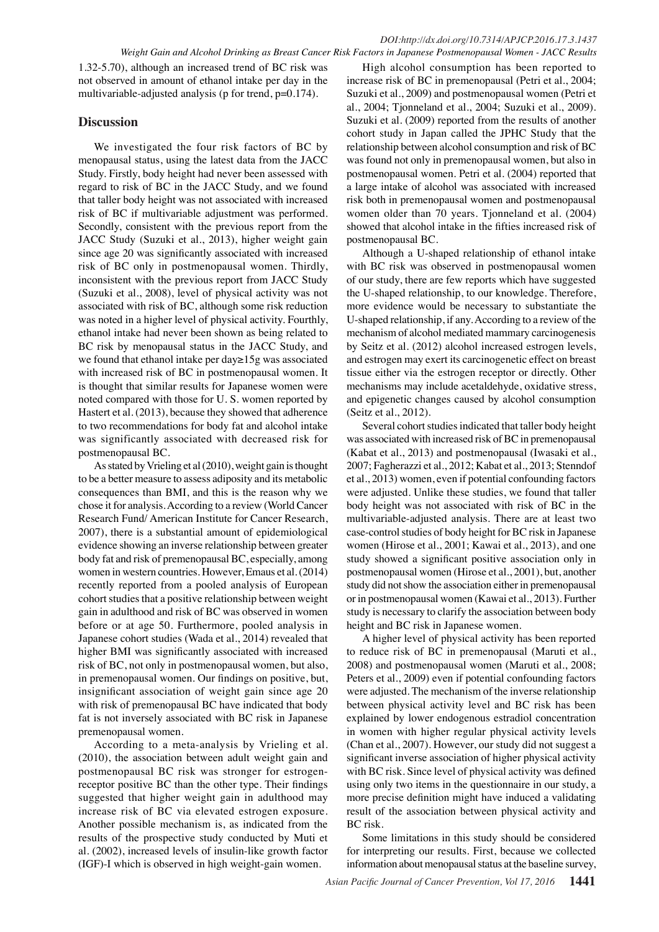1.32-5.70), although an increased trend of BC risk was not observed in amount of ethanol intake per day in the multivariable-adjusted analysis ( $p$  for trend,  $p=0.174$ ).

## **Discussion**

We investigated the four risk factors of BC by menopausal status, using the latest data from the JACC Study. Firstly, body height had never been assessed with regard to risk of BC in the JACC Study, and we found that taller body height was not associated with increased risk of BC if multivariable adjustment was performed. Secondly, consistent with the previous report from the JACC Study (Suzuki et al., 2013), higher weight gain since age 20 was significantly associated with increased risk of BC only in postmenopausal women. Thirdly, inconsistent with the previous report from JACC Study (Suzuki et al., 2008), level of physical activity was not associated with risk of BC, although some risk reduction was noted in a higher level of physical activity. Fourthly, ethanol intake had never been shown as being related to BC risk by menopausal status in the JACC Study, and we found that ethanol intake per day≥15g was associated with increased risk of BC in postmenopausal women. It is thought that similar results for Japanese women were noted compared with those for U. S. women reported by Hastert et al. (2013), because they showed that adherence to two recommendations for body fat and alcohol intake was significantly associated with decreased risk for postmenopausal BC.

As stated by Vrieling et al (2010), weight gain is thought to be a better measure to assess adiposity and its metabolic consequences than BMI, and this is the reason why we chose it for analysis. According to a review (World Cancer Research Fund/ American Institute for Cancer Research, 2007), there is a substantial amount of epidemiological evidence showing an inverse relationship between greater body fat and risk of premenopausal BC, especially, among women in western countries. However, Emaus et al. (2014) recently reported from a pooled analysis of European cohort studies that a positive relationship between weight gain in adulthood and risk of BC was observed in women before or at age 50. Furthermore, pooled analysis in Japanese cohort studies (Wada et al., 2014) revealed that higher BMI was significantly associated with increased risk of BC, not only in postmenopausal women, but also, in premenopausal women. Our findings on positive, but, insignificant association of weight gain since age 20 with risk of premenopausal BC have indicated that body fat is not inversely associated with BC risk in Japanese premenopausal women.

According to a meta-analysis by Vrieling et al. (2010), the association between adult weight gain and postmenopausal BC risk was stronger for estrogenreceptor positive BC than the other type. Their findings suggested that higher weight gain in adulthood may increase risk of BC via elevated estrogen exposure. Another possible mechanism is, as indicated from the results of the prospective study conducted by Muti et al. (2002), increased levels of insulin-like growth factor (IGF)-Ⅰ which is observed in high weight-gain women.

High alcohol consumption has been reported to increase risk of BC in premenopausal (Petri et al., 2004; Suzuki et al., 2009) and postmenopausal women (Petri et al., 2004; Tjonneland et al., 2004; Suzuki et al., 2009). Suzuki et al. (2009) reported from the results of another cohort study in Japan called the JPHC Study that the relationship between alcohol consumption and risk of BC was found not only in premenopausal women, but also in postmenopausal women. Petri et al. (2004) reported that a large intake of alcohol was associated with increased risk both in premenopausal women and postmenopausal women older than 70 years. Tjonneland et al. (2004) showed that alcohol intake in the fifties increased risk of postmenopausal BC.

Although a U-shaped relationship of ethanol intake with BC risk was observed in postmenopausal women of our study, there are few reports which have suggested the U-shaped relationship, to our knowledge. Therefore, more evidence would be necessary to substantiate the U-shaped relationship, if any. According to a review of the mechanism of alcohol mediated mammary carcinogenesis by Seitz et al. (2012) alcohol increased estrogen levels, and estrogen may exert its carcinogenetic effect on breast tissue either via the estrogen receptor or directly. Other mechanisms may include acetaldehyde, oxidative stress, and epigenetic changes caused by alcohol consumption (Seitz et al., 2012).

Several cohort studies indicated that taller body height was associated with increased risk of BC in premenopausal (Kabat et al., 2013) and postmenopausal (Iwasaki et al., 2007; Fagherazzi et al., 2012; Kabat et al., 2013; Stenndof et al., 2013) women, even if potential confounding factors were adjusted. Unlike these studies, we found that taller body height was not associated with risk of BC in the multivariable-adjusted analysis. There are at least two case-control studies of body height for BC risk in Japanese women (Hirose et al., 2001; Kawai et al., 2013), and one study showed a significant positive association only in postmenopausal women (Hirose et al., 2001), but, another study did not show the association either in premenopausal or in postmenopausal women (Kawai et al., 2013). Further study is necessary to clarify the association between body height and BC risk in Japanese women.

A higher level of physical activity has been reported to reduce risk of BC in premenopausal (Maruti et al., 2008) and postmenopausal women (Maruti et al., 2008; Peters et al., 2009) even if potential confounding factors were adjusted. The mechanism of the inverse relationship between physical activity level and BC risk has been explained by lower endogenous estradiol concentration in women with higher regular physical activity levels (Chan et al., 2007). However, our study did not suggest a significant inverse association of higher physical activity with BC risk. Since level of physical activity was defined using only two items in the questionnaire in our study, a more precise definition might have induced a validating result of the association between physical activity and BC risk.

Some limitations in this study should be considered for interpreting our results. First, because we collected information about menopausal status at the baseline survey,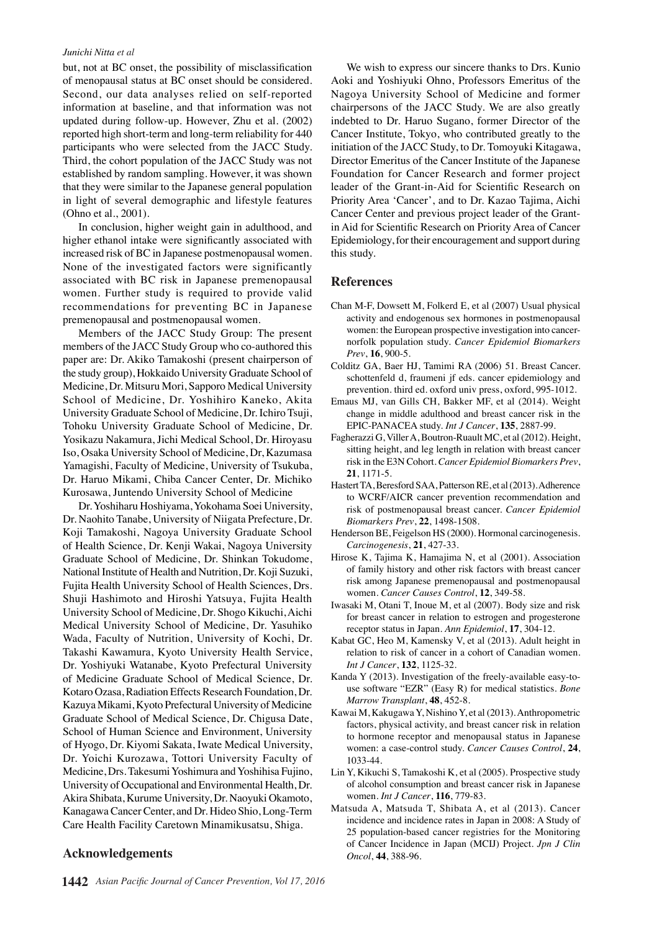#### *Junichi Nitta et al*

but, not at BC onset, the possibility of misclassification of menopausal status at BC onset should be considered. Second, our data analyses relied on self-reported information at baseline, and that information was not updated during follow-up. However, Zhu et al. (2002) reported high short-term and long-term reliability for 440 participants who were selected from the JACC Study. Third, the cohort population of the JACC Study was not established by random sampling. However, it was shown that they were similar to the Japanese general population in light of several demographic and lifestyle features (Ohno et al., 2001).

In conclusion, higher weight gain in adulthood, and higher ethanol intake were significantly associated with increased risk of BC in Japanese postmenopausal women. None of the investigated factors were significantly associated with BC risk in Japanese premenopausal women. Further study is required to provide valid recommendations for preventing BC in Japanese premenopausal and postmenopausal women.

Members of the JACC Study Group: The present members of the JACC Study Group who co-authored this paper are: Dr. Akiko Tamakoshi (present chairperson of the study group), Hokkaido University Graduate School of Medicine, Dr. Mitsuru Mori, Sapporo Medical University School of Medicine, Dr. Yoshihiro Kaneko, Akita University Graduate School of Medicine, Dr. Ichiro Tsuji, Tohoku University Graduate School of Medicine, Dr. Yosikazu Nakamura, Jichi Medical School, Dr. Hiroyasu Iso, Osaka University School of Medicine, Dr, Kazumasa Yamagishi, Faculty of Medicine, University of Tsukuba, Dr. Haruo Mikami, Chiba Cancer Center, Dr. Michiko Kurosawa, Juntendo University School of Medicine

Dr. Yoshiharu Hoshiyama, Yokohama Soei University, Dr. Naohito Tanabe, University of Niigata Prefecture, Dr. Koji Tamakoshi, Nagoya University Graduate School of Health Science, Dr. Kenji Wakai, Nagoya University Graduate School of Medicine, Dr. Shinkan Tokudome, National Institute of Health and Nutrition, Dr. Koji Suzuki, Fujita Health University School of Health Sciences, Drs. Shuji Hashimoto and Hiroshi Yatsuya, Fujita Health University School of Medicine, Dr. Shogo Kikuchi, Aichi Medical University School of Medicine, Dr. Yasuhiko Wada, Faculty of Nutrition, University of Kochi, Dr. Takashi Kawamura, Kyoto University Health Service, Dr. Yoshiyuki Watanabe, Kyoto Prefectural University of Medicine Graduate School of Medical Science, Dr. Kotaro Ozasa, Radiation Effects Research Foundation, Dr. Kazuya Mikami, Kyoto Prefectural University of Medicine Graduate School of Medical Science, Dr. Chigusa Date, School of Human Science and Environment, University of Hyogo, Dr. Kiyomi Sakata, Iwate Medical University, Dr. Yoichi Kurozawa, Tottori University Faculty of Medicine, Drs. Takesumi Yoshimura and Yoshihisa Fujino, University of Occupational and Environmental Health, Dr. Akira Shibata, Kurume University, Dr. Naoyuki Okamoto, Kanagawa Cancer Center, and Dr. Hideo Shio, Long-Term Care Health Facility Caretown Minamikusatsu, Shiga.

#### **Acknowledgements**

Epidemiology, for their encouragement and support during **75.0** Priority Area 'Cancer', and to Dr. Kazao Tajima, Aichi00.0 We wish to express our sincere thanks to Drs. Kunio Aoki and Yoshiyuki Ohno, Professors Emeritus of the Nagoya University School of Medicine and former chairpersons of the JACC Study. We are also greatly indebted to Dr. Haruo Sugano, former Director of the Cancer Institute, Tokyo, who contributed greatly to the initiation of the JACC Study, to Dr. Tomoyuki Kitagawa, Director Emeritus of the Cancer Institute of the Japanese Foundation for Cancer Research and former project leader of the Grant-in-Aid for Scientific Research on Cancer Center and previous project leader of the Grantin Aid for Scientific Research on Priority Area of Cancer this study.

#### **References**

- women: the European prospective investigation into cancer-<br>norfolk population study *Cancer Epidemial Biomarker* Chan M-F, Dowsett M, Folkerd E, et al (2007) Usual physical activity and endogenous sex hormones in postmenopausal norfolk population study. *Cancer Epidemiol Biomarkers Prev*, **16**, 900-5.
- Colditz GA, Baer HJ, Tamimi RA (2006) 51. Breast Cancer. schottenfeld d, fraumeni jf eds. cancer epidemiology and prevention. third ed. oxford univ press, oxford, 995-1012.
- Emaus MJ, van Gills CH, Bakker MF, et al (2014). Weight change in middle adulthood and breast cancer risk in the EPIC-PANACEA study. *Int J Cancer*, **135**, 2887-99.
- Fagherazzi G, Viller A, Boutron-Ruault MC, et al (2012). Height, sitting height, and leg length in relation with breast cancer risk in the E3N Cohort. *Cancer Epidemiol Biomarkers Prev*, **21**, 1171-5.
- Hastert TA, Beresford SAA, Patterson RE, et al (2013). Adherence to WCRF/AICR cancer prevention recommendation and risk of postmenopausal breast cancer. *Cancer Epidemiol Biomarkers Prev*, **22**, 1498-1508.
- Henderson BE, Feigelson HS (2000). Hormonal carcinogenesis. *Carcinogenesis*, **21**, 427-33.
- Hirose K, Tajima K, Hamajima N, et al (2001). Association of family history and other risk factors with breast cancer risk among Japanese premenopausal and postmenopausal women. *Cancer Causes Control*, **12**, 349-58.
- Iwasaki M, Otani T, Inoue M, et al (2007). Body size and risk for breast cancer in relation to estrogen and progesterone receptor status in Japan. *Ann Epidemiol*, **17**, 304-12.
- Kabat GC, Heo M, Kamensky V, et al (2013). Adult height in relation to risk of cancer in a cohort of Canadian women. *Int J Cancer*, **132**, 1125-32.
- Kanda Y (2013). Investigation of the freely-available easy-touse software "EZR" (Easy R) for medical statistics. *Bone Marrow Transplant*, **48**, 452-8.
- Kawai M, Kakugawa Y, Nishino Y, et al (2013). Anthropometric factors, physical activity, and breast cancer risk in relation to hormone receptor and menopausal status in Japanese women: a case-control study. *Cancer Causes Control*, **24**, 1033-44.
- Lin Y, Kikuchi S, Tamakoshi K, et al (2005). Prospective study of alcohol consumption and breast cancer risk in Japanese women. *Int J Cancer*, **116**, 779-83.
- Matsuda A, Matsuda T, Shibata A, et al (2013). Cancer incidence and incidence rates in Japan in 2008: A Study of 25 population-based cancer registries for the Monitoring of Cancer Incidence in Japan (MCIJ) Project. *Jpn J Clin Oncol*, **44**, 388-96.

0 0

50.0 50.0